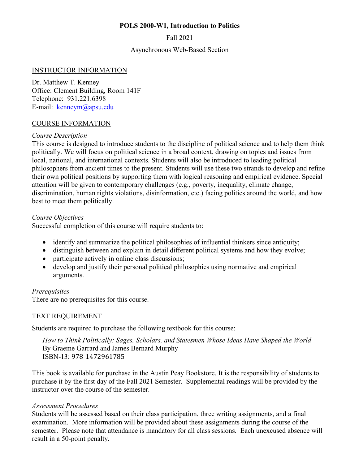#### **POLS 2000-W1, Introduction to Politics**

Fall 2021

Asynchronous Web-Based Section

#### INSTRUCTOR INFORMATION

Dr. Matthew T. Kenney Office: Clement Building, Room 141F Telephone: 931.221.6398 E-mail: kenneym@apsu.edu

#### COURSE INFORMATION

#### *Course Description*

This course is designed to introduce students to the discipline of political science and to help them think politically. We will focus on political science in a broad context, drawing on topics and issues from local, national, and international contexts. Students will also be introduced to leading political philosophers from ancient times to the present. Students will use these two strands to develop and refine their own political positions by supporting them with logical reasoning and empirical evidence. Special attention will be given to contemporary challenges (e.g., poverty, inequality, climate change, discrimination, human rights violations, disinformation, etc.) facing polities around the world, and how best to meet them politically.

#### *Course Objectives*

Successful completion of this course will require students to:

- identify and summarize the political philosophies of influential thinkers since antiquity;
- distinguish between and explain in detail different political systems and how they evolve;
- participate actively in online class discussions;
- develop and justify their personal political philosophies using normative and empirical arguments.

# *Prerequisites*

There are no prerequisites for this course.

# TEXT REQUIREMENT

Students are required to purchase the following textbook for this course:

*How to Think Politically: Sages, Scholars, and Statesmen Whose Ideas Have Shaped the World* By Graeme Garrard and James Bernard Murphy ISBN-13: 978-1472961785

This book is available for purchase in the Austin Peay Bookstore. It is the responsibility of students to purchase it by the first day of the Fall 2021 Semester. Supplemental readings will be provided by the instructor over the course of the semester.

#### *Assessment Procedures*

Students will be assessed based on their class participation, three writing assignments, and a final examination. More information will be provided about these assignments during the course of the semester. Please note that attendance is mandatory for all class sessions. Each unexcused absence will result in a 50-point penalty.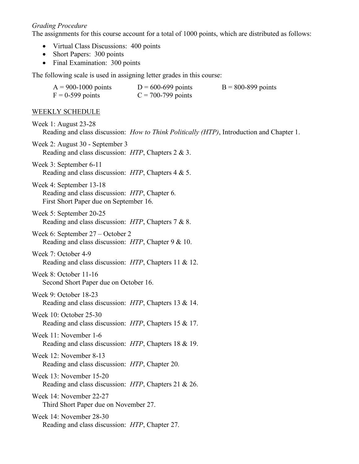#### *Grading Procedure*

The assignments for this course account for a total of 1000 points, which are distributed as follows:

- Virtual Class Discussions: 400 points
- Short Papers: 300 points
- Final Examination: 300 points

The following scale is used in assigning letter grades in this course:

| $A = 900 - 1000$ points | $D = 600 - 699$ points | $B = 800 - 899$ points |
|-------------------------|------------------------|------------------------|
| $F = 0-599$ points      | $C = 700 - 799$ points |                        |

#### WEEKLY SCHEDULE

Week 1: August 23-28 Reading and class discussion: *How to Think Politically (HTP)*, Introduction and Chapter 1.

Week 2: August 30 - September 3 Reading and class discussion: *HTP*, Chapters 2 & 3.

- Week 3: September 6-11 Reading and class discussion: *HTP*, Chapters 4 & 5.
- Week 4: September 13-18 Reading and class discussion: *HTP*, Chapter 6. First Short Paper due on September 16.
- Week 5: September 20-25 Reading and class discussion: *HTP*, Chapters 7 & 8.
- Week 6: September 27 October 2 Reading and class discussion: *HTP*, Chapter 9 & 10.

# Week 7: October 4-9

- Reading and class discussion: *HTP*, Chapters 11 & 12.
- Week 8: October 11-16 Second Short Paper due on October 16.
- Week 9: October 18-23 Reading and class discussion: *HTP*, Chapters 13 & 14.
- Week 10: October 25-30 Reading and class discussion: *HTP*, Chapters 15 & 17.
- Week 11: November 1-6 Reading and class discussion: *HTP*, Chapters 18 & 19.
- Week 12: November 8-13 Reading and class discussion: *HTP*, Chapter 20.
- Week 13: November 15-20 Reading and class discussion: *HTP*, Chapters 21 & 26.
- Week 14: November 22-27 Third Short Paper due on November 27.
- Week 14: November 28-30 Reading and class discussion: *HTP*, Chapter 27.